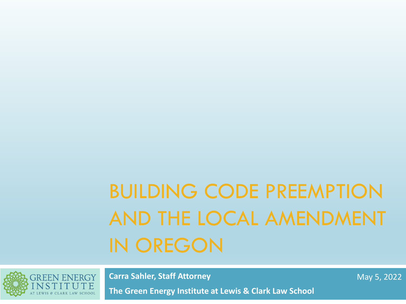# BUILDING CODE PREEMPTION AND THE LOCAL AMENDMENT IN OREGON



**Carra Sahler, Staff Attorney**

**The Green Energy Institute at Lewis & Clark Law School**

May 5, 2022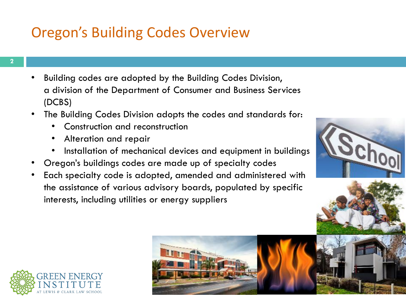### Oregon's Building Codes Overview

- Building codes are adopted by the Building Codes Division, a division of the Department of Consumer and Business Services (DCBS)
- The Building Codes Division adopts the codes and standards for:
	- Construction and reconstruction
	- Alteration and repair
	- Installation of mechanical devices and equipment in buildings
- Oregon's buildings codes are made up of specialty codes
- Each specialty code is adopted, amended and administered with the assistance of various advisory boards, populated by specific interests, including utilities or energy suppliers









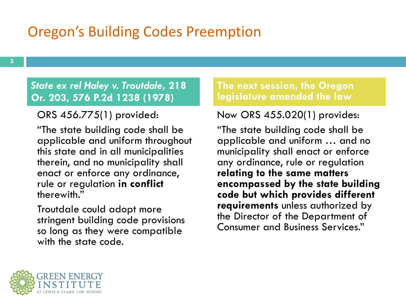### Oregon's Building Codes Preemption

### *State ex rel Haley v. Troutdale***, 218 Or. 203, 576 P.2d 1238 (1978)**

ORS 456.775(1) provided:

"The state building code shall be applicable and uniform throughout this state and in all municipalities therein, and no municipality shall enact or enforce any ordinance, rule or regulation **in conflict**  therewith."

Troutdale could adopt more stringent building code provisions so long as they were compatible with the state code.

**The next session, the Oregon legislature amended the law**

Now ORS 455.020(1) provides:

"The state building code shall be applicable and uniform … and no municipality shall enact or enforce any ordinance, rule or regulation **relating to the same matters encompassed by the state building code but which provides different requirements** unless authorized by the Director of the Department of Consumer and Business Services."

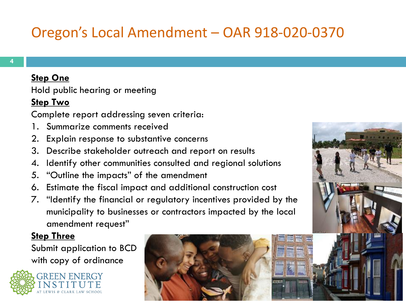## Oregon's Local Amendment – OAR 918-020-0370

#### **Step One**

Hold public hearing or meeting

#### **Step Two**

Complete report addressing seven criteria:

- 1. Summarize comments received
- 2. Explain response to substantive concerns
- 3. Describe stakeholder outreach and report on results
- 4. Identify other communities consulted and regional solutions
- 5. "Outline the impacts" of the amendment
- 6. Estimate the fiscal impact and additional construction cost
- 7. "Identify the financial or regulatory incentives provided by the municipality to businesses or contractors impacted by the local amendment request"

### **Step Three**

Submit application to BCD with copy of ordinance





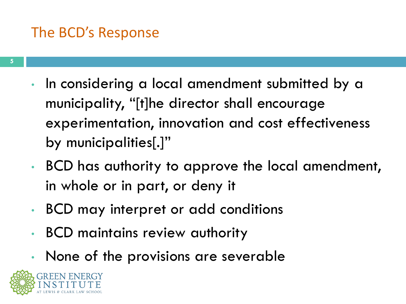### The BCD's Response

- In considering a local amendment submitted by a municipality, "[t]he director shall encourage experimentation, innovation and cost effectiveness by municipalities[.]"
- BCD has authority to approve the local amendment, in whole or in part, or deny it
- BCD may interpret or add conditions
- BCD maintains review authority
- None of the provisions are severable